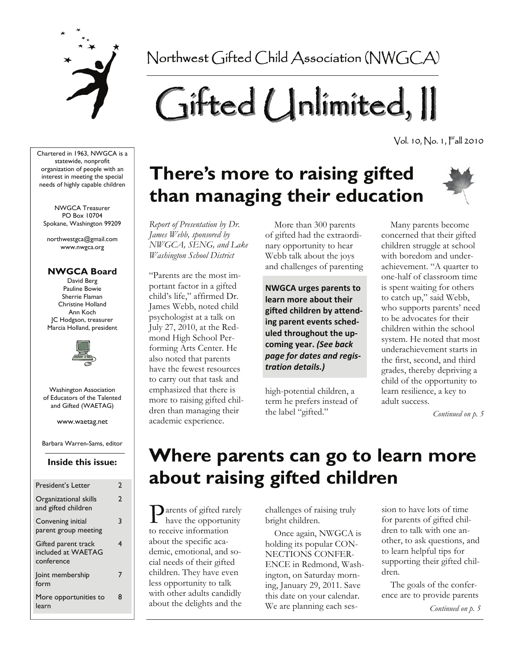

Northwest Gifted Child Association (NWGCA)

# Gifted Unlimited, II

Vol. 10, No. 1, Fall 2010

Chartered in 1963, NWGCA is a statewide, nonprofit organization of people with an interest in meeting the special needs of highly capable children

NWGCA Treasurer PO Box 10704 Spokane, Washington 99209

northwestgca@gmail.com www.nwgca.org

#### **NWGCA Board**

David Berg Pauline Bowie Sherrie Flaman Christine Holland Ann Koch JC Hodgson, treasurer Marcia Holland, president



Washington Association of Educators of the Talented and Gifted (WAETAG)

www.waetag.net

Barbara Warren-Sams, editor

#### **Inside this issue:**

| <b>President's Letter</b>                               | 2            |
|---------------------------------------------------------|--------------|
| Organizational skills<br>and gifted children            | $\mathbf{c}$ |
| Convening initial<br>parent group meeting               | 3            |
| Gifted parent track<br>included at WAETAG<br>conference | 4            |
| Joint membership<br>form                                | 7            |
| More opportunities to<br>learn                          | Զ            |

# **There's more to raising gifted than managing their education**



*Report of Presentation by Dr. James Webb, sponsored by NWGCA, SENG, and Lake Washington School District* 

"Parents are the most important factor in a gifted child's life," affirmed Dr. James Webb, noted child psychologist at a talk on July 27, 2010, at the Redmond High School Performing Arts Center. He also noted that parents have the fewest resources to carry out that task and emphasized that there is more to raising gifted children than managing their academic experience.

 More than 300 parents of gifted had the extraordinary opportunity to hear Webb talk about the joys and challenges of parenting

**NWGCA urges parents to learn more about their gifted children by attend‐ ing parent events sched‐ uled throughout the up‐ coming year.** *(See back page for dates and regis‐ tration details.)*

high-potential children, a term he prefers instead of the label "gifted."

 Many parents become concerned that their gifted children struggle at school with boredom and underachievement. "A quarter to one-half of classroom time is spent waiting for others to catch up," said Webb, who supports parents' need to be advocates for their children within the school system. He noted that most underachievement starts in the first, second, and third grades, thereby depriving a child of the opportunity to learn resilience, a key to adult success.

*Continued on p. 5* 

# **Where parents can go to learn more about raising gifted children**

**P** arents of gifted rarely have the opportunity to receive information about the specific academic, emotional, and social needs of their gifted children. They have even less opportunity to talk with other adults candidly about the delights and the

challenges of raising truly bright children.

 Once again, NWGCA is holding its popular CON-NECTIONS CONFER-ENCE in Redmond, Washington, on Saturday morning, January 29, 2011. Save this date on your calendar. We are planning each session to have lots of time for parents of gifted children to talk with one another, to ask questions, and to learn helpful tips for supporting their gifted children.

*Continued on p. 5*  The goals of the conference are to provide parents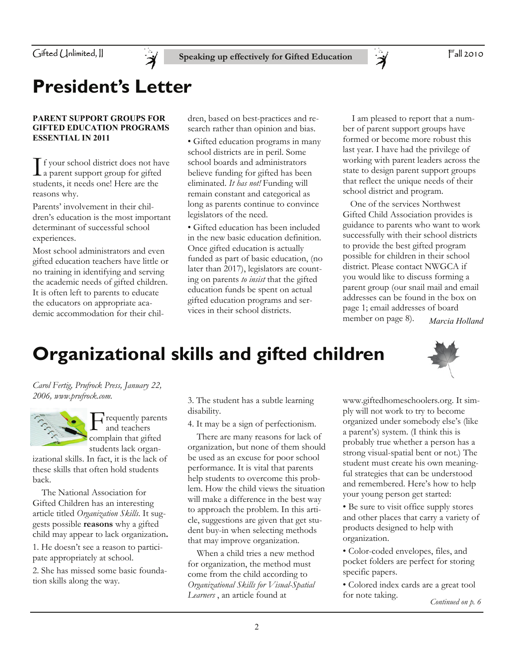

### **President's Letter**

#### **PARENT SUPPORT GROUPS FOR GIFTED EDUCATION PROGRAMS ESSENTIAL IN 2011**

 $\prod$  f your school district does not have<br>a parent support group for gifted students, it needs one! Here are the reasons why.

Parents' involvement in their children's education is the most important determinant of successful school experiences.

Most school administrators and even gifted education teachers have little or no training in identifying and serving the academic needs of gifted children. It is often left to parents to educate the educators on appropriate academic accommodation for their children, based on best-practices and research rather than opinion and bias.

• Gifted education programs in many school districts are in peril. Some school boards and administrators believe funding for gifted has been eliminated. *It has not!* Funding will remain constant and categorical as long as parents continue to convince legislators of the need.

• Gifted education has been included in the new basic education definition. Once gifted education is actually funded as part of basic education, (no later than 2017), legislators are counting on parents *to insist* that the gifted education funds be spent on actual gifted education programs and services in their school districts.

 I am pleased to report that a number of parent support groups have formed or become more robust this last year. I have had the privilege of working with parent leaders across the state to design parent support groups that reflect the unique needs of their school district and program.

 One of the services Northwest Gifted Child Association provides is guidance to parents who want to work successfully with their school districts to provide the best gifted program possible for children in their school district. Please contact NWGCA if you would like to discuss forming a parent group (our snail mail and email addresses can be found in the box on page 1; email addresses of board member on page 8). *Marcia Holland* 

# **Organizational skills and gifted children**

*Carol Fertig, Prufrock Press, January 22, 2006, www.prufrock.com.* 



requently parents and teachers complain that gifted students lack organ-

izational skills. In fact, it is the lack of these skills that often hold students back.

 The National Association for Gifted Children has an interesting article titled *Organization Skills*. It suggests possible **reasons** why a gifted child may appear to lack organization**.** 

1. He doesn't see a reason to participate appropriately at school.

2. She has missed some basic foundation skills along the way.

3. The student has a subtle learning disability.

4. It may be a sign of perfectionism.

 There are many reasons for lack of organization, but none of them should be used as an excuse for poor school performance. It is vital that parents help students to overcome this problem. How the child views the situation will make a difference in the best way to approach the problem. In this article, suggestions are given that get student buy-in when selecting methods that may improve organization.

 When a child tries a new method for organization, the method must come from the child according to *Organizational Skills for Visual-Spatial Learners* , an article found at

www.giftedhomeschoolers.org. It simply will not work to try to become organized under somebody else's (like a parent's) system. (I think this is probably true whether a person has a strong visual-spatial bent or not.) The student must create his own meaningful strategies that can be understood and remembered. Here's how to help your young person get started:

• Be sure to visit office supply stores and other places that carry a variety of products designed to help with organization.

• Color-coded envelopes, files, and pocket folders are perfect for storing specific papers.

• Colored index cards are a great tool for note taking.

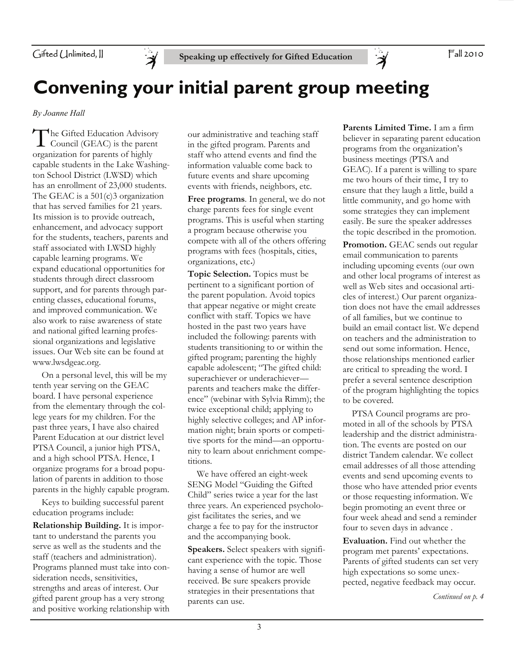

Fall 2010

### **Convening your initial parent group meeting**

*By Joanne Hall* 

The Gifted Education Advisory<br>Council (GEAC) is the parent organization for parents of highly capable students in the Lake Washington School District (LWSD) which has an enrollment of 23,000 students. The GEAC is a 501(c)3 organization that has served families for 21 years. Its mission is to provide outreach, enhancement, and advocacy support for the students, teachers, parents and staff associated with LWSD highly capable learning programs. We expand educational opportunities for students through direct classroom support, and for parents through parenting classes, educational forums, and improved communication. We also work to raise awareness of state and national gifted learning professional organizations and legislative issues. Our Web site can be found at www.lwsdgeac.org.

 On a personal level, this will be my tenth year serving on the GEAC board. I have personal experience from the elementary through the college years for my children. For the past three years, I have also chaired Parent Education at our district level PTSA Council, a junior high PTSA, and a high school PTSA. Hence, I organize programs for a broad population of parents in addition to those parents in the highly capable program.

 Keys to building successful parent education programs include:

**Relationship Building.** It is important to understand the parents you serve as well as the students and the staff (teachers and administration). Programs planned must take into consideration needs, sensitivities, strengths and areas of interest. Our gifted parent group has a very strong and positive working relationship with

our administrative and teaching staff in the gifted program. Parents and staff who attend events and find the information valuable come back to future events and share upcoming events with friends, neighbors, etc.

**Free programs**. In general, we do not charge parents fees for single event programs. This is useful when starting a program because otherwise you compete with all of the others offering programs with fees (hospitals, cities, organizations, etc**.**)

**Topic Selection.** Topics must be pertinent to a significant portion of the parent population. Avoid topics that appear negative or might create conflict with staff. Topics we have hosted in the past two years have included the following: parents with students transitioning to or within the gifted program; parenting the highly capable adolescent; "The gifted child: superachiever or underachieverparents and teachers make the difference" (webinar with Sylvia Rimm); the twice exceptional child; applying to highly selective colleges; and AP information night; brain sports or competitive sports for the mind—an opportunity to learn about enrichment competitions.

 We have offered an eight-week SENG Model "Guiding the Gifted Child" series twice a year for the last three years. An experienced psychologist facilitates the series, and we charge a fee to pay for the instructor and the accompanying book.

**Speakers.** Select speakers with significant experience with the topic. Those having a sense of humor are well received. Be sure speakers provide strategies in their presentations that parents can use.

**Parents Limited Time.** I am a firm believer in separating parent education programs from the organization's business meetings (PTSA and GEAC). If a parent is willing to spare me two hours of their time, I try to ensure that they laugh a little, build a little community, and go home with some strategies they can implement easily. Be sure the speaker addresses the topic described in the promotion.

 $\ddot{\mathcal{A}}$ 

**Promotion.** GEAC sends out regular email communication to parents including upcoming events (our own and other local programs of interest as well as Web sites and occasional articles of interest.) Our parent organization does not have the email addresses of all families, but we continue to build an email contact list. We depend on teachers and the administration to send out some information. Hence, those relationships mentioned earlier are critical to spreading the word. I prefer a several sentence description of the program highlighting the topics to be covered.

 PTSA Council programs are promoted in all of the schools by PTSA leadership and the district administration. The events are posted on our district Tandem calendar. We collect email addresses of all those attending events and send upcoming events to those who have attended prior events or those requesting information. We begin promoting an event three or four week ahead and send a reminder four to seven days in advance .

**Evaluation.** Find out whether the program met parents' expectations. Parents of gifted students can set very high expectations so some unexpected, negative feedback may occur.

*Continued on p. 4*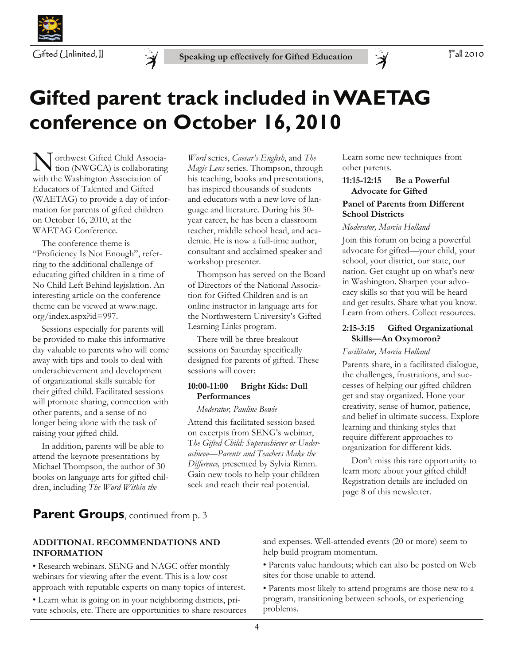



# **Gifted parent track included in WAETAG conference on October 16, 2010**

N orthwest Gifted Child Associa-tion (NWGCA) is collaborating with the Washington Association of Educators of Talented and Gifted (WAETAG) to provide a day of information for parents of gifted children on October 16, 2010, at the WAETAG Conference.

 The conference theme is "Proficiency Is Not Enough", referring to the additional challenge of educating gifted children in a time of No Child Left Behind legislation. An interesting article on the conference theme can be viewed at www.nagc. org/index.aspx?id=997.

 Sessions especially for parents will be provided to make this informative day valuable to parents who will come away with tips and tools to deal with underachievement and development of organizational skills suitable for their gifted child. Facilitated sessions will promote sharing, connection with other parents, and a sense of no longer being alone with the task of raising your gifted child.

 In addition, parents will be able to attend the keynote presentations by Michael Thompson, the author of 30 books on language arts for gifted children, including *The Word Within the* 

*Word* series, *Caesar's English*, and *The Magic Lens* series. Thompson, through his teaching, books and presentations, has inspired thousands of students and educators with a new love of language and literature. During his 30 year career, he has been a classroom teacher, middle school head, and academic. He is now a full-time author, consultant and acclaimed speaker and workshop presenter.

 Thompson has served on the Board of Directors of the National Association for Gifted Children and is an online instructor in language arts for the Northwestern University's Gifted Learning Links program.

 There will be three breakout sessions on Saturday specifically designed for parents of gifted. These sessions will cover:

#### **10:00-11:00 Bright Kids: Dull Performances**

 *Moderator, Pauline Bowie* 

Attend this facilitated session based on excerpts from SENG's webinar, T*he Gifted Child: Superachiever or Underachieve—Parents and Teachers Make the Difference,* presented by Sylvia Rimm. Gain new tools to help your children seek and reach their real potential.

Learn some new techniques from other parents.

#### **11:15-12:15 Be a Powerful Advocate for Gifted**

#### **Panel of Parents from Different School Districts**

#### *Moderator, Marcia Holland*

 $\ddot{\mathcal{A}}$ 

Join this forum on being a powerful advocate for gifted—your child, your school, your district, our state, our nation. Get caught up on what's new in Washington. Sharpen your advocacy skills so that you will be heard and get results. Share what you know. Learn from others. Collect resources.

#### **2:15-3:15 Gifted Organizational Skills—An Oxymoron?**

#### *Facilitator, Marcia Holland*

Parents share, in a facilitated dialogue, the challenges, frustrations, and successes of helping our gifted children get and stay organized. Hone your creativity, sense of humor, patience, and belief in ultimate success. Explore learning and thinking styles that require different approaches to organization for different kids.

 Don't miss this rare opportunity to learn more about your gifted child! Registration details are included on page 8 of this newsletter.

### **Parent Groups**, continued from p. 3

#### **ADDITIONAL RECOMMENDATIONS AND INFORMATION**

• Research webinars. SENG and NAGC offer monthly webinars for viewing after the event. This is a low cost approach with reputable experts on many topics of interest.

• Learn what is going on in your neighboring districts, private schools, etc. There are opportunities to share resources and expenses. Well-attended events (20 or more) seem to help build program momentum.

• Parents value handouts; which can also be posted on Web sites for those unable to attend.

• Parents most likely to attend programs are those new to a program, transitioning between schools, or experiencing problems.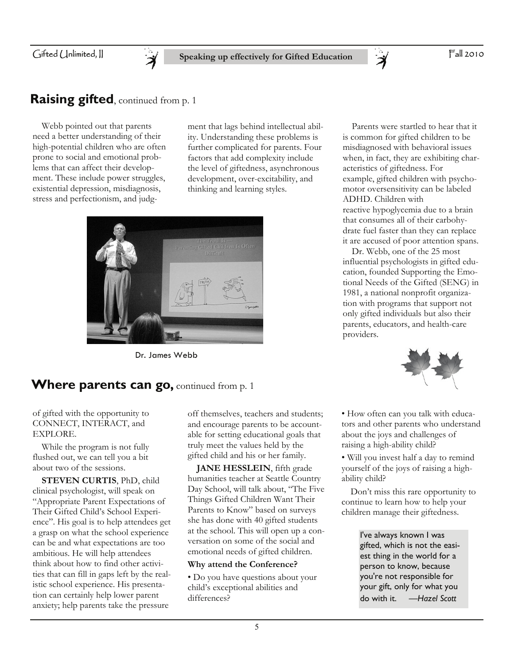

### **Raising gifted**, continued from p. 1

 Webb pointed out that parents need a better understanding of their high-potential children who are often prone to social and emotional problems that can affect their development. These include power struggles, existential depression, misdiagnosis, stress and perfectionism, and judg-

ment that lags behind intellectual ability. Understanding these problems is further complicated for parents. Four factors that add complexity include the level of giftedness, asynchronous development, over-excitability, and thinking and learning styles.



Dr. James Webb

### **Where parents can go, continued from p. 1**

when, in fact, they are exhibiting characteristics of giftedness. For example, gifted children with psychomotor oversensitivity can be labeled ADHD. Children with reactive hypoglycemia due to a brain that consumes all of their carbohydrate fuel faster than they can replace it are accused of poor attention spans. Dr. Webb, one of the 25 most

 Parents were startled to hear that it is common for gifted children to be misdiagnosed with behavioral issues

influential psychologists in gifted education, founded Supporting the Emotional Needs of the Gifted (SENG) in 1981, a national nonprofit organization with programs that support not only gifted individuals but also their parents, educators, and health-care providers.



of gifted with the opportunity to CONNECT, INTERACT, and EXPLORE.

 While the program is not fully flushed out, we can tell you a bit about two of the sessions.

**STEVEN CURTIS**, PhD, child clinical psychologist, will speak on "Appropriate Parent Expectations of Their Gifted Child's School Experience". His goal is to help attendees get a grasp on what the school experience can be and what expectations are too ambitious. He will help attendees think about how to find other activities that can fill in gaps left by the realistic school experience. His presentation can certainly help lower parent anxiety; help parents take the pressure

off themselves, teachers and students; and encourage parents to be accountable for setting educational goals that truly meet the values held by the gifted child and his or her family.

**JANE HESSLEIN**, fifth grade humanities teacher at Seattle Country Day School, will talk about, "The Five Things Gifted Children Want Their Parents to Know" based on surveys she has done with 40 gifted students at the school. This will open up a conversation on some of the social and emotional needs of gifted children.

#### **Why attend the Conference?**

• Do you have questions about your child's exceptional abilities and differences?

• How often can you talk with educators and other parents who understand about the joys and challenges of raising a high-ability child?

• Will you invest half a day to remind yourself of the joys of raising a highability child?

 Don't miss this rare opportunity to continue to learn how to help your children manage their giftedness.

> I've always known I was gifted, which is not the easiest thing in the world for a person to know, because you're not responsible for your gift, only for what you do with it. —*Hazel Scott*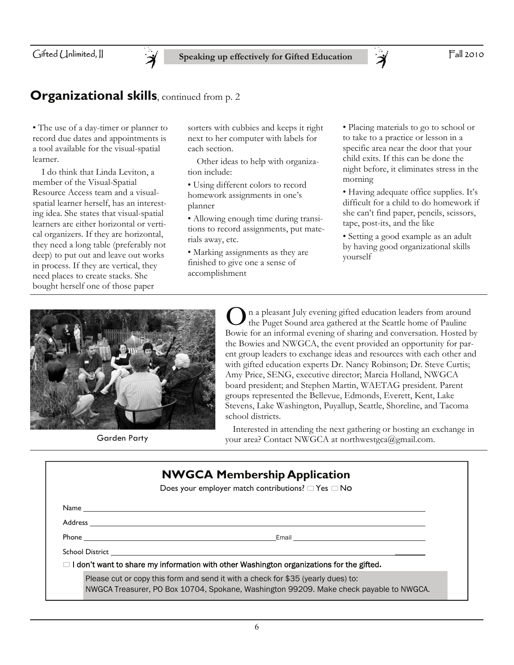**Speaking up effectively for Gifted Education** 

#### Fall 2010

### **Organizational skills**, continued from p. 2

• The use of a day-timer or planner to record due dates and appointments is a tool available for the visual-spatial learner.

 I do think that Linda Leviton, a member of the Visual-Spatial Resource Access team and a visualspatial learner herself, has an interesting idea. She states that visual-spatial learners are either horizontal or vertical organizers. If they are horizontal, they need a long table (preferably not deep) to put out and leave out works in process. If they are vertical, they need places to create stacks. She bought herself one of those paper

sorters with cubbies and keeps it right next to her computer with labels for each section.

 Other ideas to help with organization include:

- Using different colors to record homework assignments in one's planner
- Allowing enough time during transitions to record assignments, put materials away, etc.
- Marking assignments as they are finished to give one a sense of accomplishment

• Placing materials to go to school or to take to a practice or lesson in a specific area near the door that your child exits. If this can be done the night before, it eliminates stress in the morning

- Having adequate office supplies. It's difficult for a child to do homework if she can't find paper, pencils, scissors, tape, post-its, and the like
- Setting a good example as an adult by having good organizational skills yourself



**O** n a pleasant July evening gifted education leaders from around<br>the Puget Sound area gathered at the Seattle home of Pauline<br>Bowie for an informal evening of sharing and conversation. Hosted b the Puget Sound area gathered at the Seattle home of Pauline Bowie for an informal evening of sharing and conversation. Hosted by the Bowies and NWGCA, the event provided an opportunity for parent group leaders to exchange ideas and resources with each other and with gifted education experts Dr. Nancy Robinson; Dr. Steve Curtis; Amy Price, SENG, executive director; Marcia Holland, NWGCA board president; and Stephen Martin, WAETAG president. Parent groups represented the Bellevue, Edmonds, Everett, Kent, Lake Stevens, Lake Washington, Puyallup, Seattle, Shoreline, and Tacoma school districts.

 Interested in attending the next gathering or hosting an exchange in Garden Party vour area? Contact NWGCA at northwestgca@gmail.com.

| <b>NWGCA Membership Application</b>                                                                                                                                        |                                                                                                                      |  |  |  |  |
|----------------------------------------------------------------------------------------------------------------------------------------------------------------------------|----------------------------------------------------------------------------------------------------------------------|--|--|--|--|
|                                                                                                                                                                            | Does your employer match contributions? $\Box$ Yes $\Box$ No                                                         |  |  |  |  |
|                                                                                                                                                                            |                                                                                                                      |  |  |  |  |
|                                                                                                                                                                            |                                                                                                                      |  |  |  |  |
|                                                                                                                                                                            | Email <u>____________________________</u>                                                                            |  |  |  |  |
|                                                                                                                                                                            | School District <b>Executive School School</b> School School School School School School School School School School |  |  |  |  |
|                                                                                                                                                                            | $\Box$ I don't want to share my information with other Washington organizations for the gifted.                      |  |  |  |  |
| Please cut or copy this form and send it with a check for \$35 (yearly dues) to:<br>NWGCA Treasurer, PO Box 10704, Spokane, Washington 99209. Make check payable to NWGCA. |                                                                                                                      |  |  |  |  |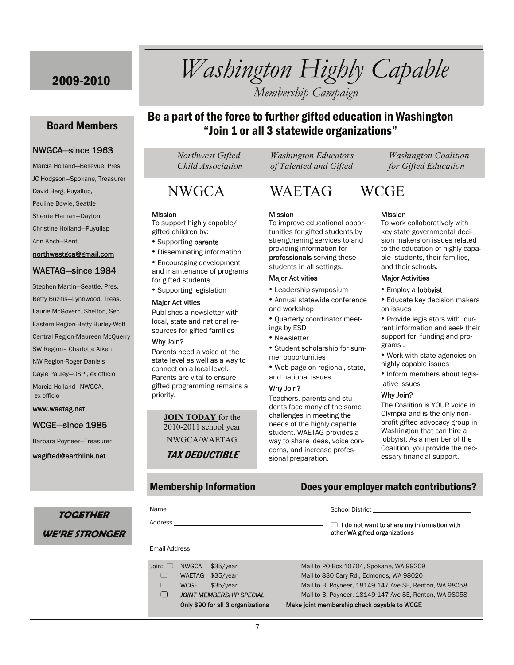### 2009-2010 *Washington Highly Capable Membership Campaign*

#### Board Members

#### NWGCA—since 1963

Marcia Holland—Bellevue, Pres. JC Hodgson—Spokane, Treasurer David Berg, Puyallup, Pauline Bowie, Seattle Sherrie Flaman—Dayton Christine Holland—Puyullap Ann Koch—Kent northwestgca@gmail.com

#### WAETAG—since 1984

Stephen Martin—Seattle, Pres. Betty Buzitis—Lynnwood, Treas. Laurie McGovern, Shelton, Sec. Eastern Region-Betty Burley-Wolf Central Region-Maureen McQuerry SW Region– Charlotte Aiken NW Region-Roger Daniels Gayle Pauley—OSPI, ex officio Marcia Holland—NWGCA, ex officio

#### www.waetag.net

#### WCGE—since 1985

Barbara Poyneer—Treasurer

wagifted@earthlink.net

**TOGETHER** 

**WE'RE STRONGER** 

### Be a part of the force to further gifted education in Washington "Join 1 or all 3 statewide organizations"

#### **Mission**

To support highly capable/ gifted children by:

- Supporting parents
- Disseminating information

• Encouraging development and maintenance of programs for gifted students

• Supporting legislation

#### Major Activities

Publishes a newsletter with local, state and national resources for gifted families

#### Why Join?

Parents need a voice at the state level as well as a way to connect on a local level. Parents are vital to ensure gifted programming remains a priority.

> **JOIN TODAY** for the 2010-2011 school year NWGCA/WAETAG TAX DEDUCTIBLE

 *Northwest Gifted Washington Educators Washington Coalition Child Association of Talented and Gifted for Gifted Education* 

### NWGCA WAETAG WCGE

#### **Mission**

To improve educational opportunities for gifted students by strengthening services to and providing information for professionals serving these

students in all settings.

#### Major Activities

- Leadership symposium • Annual statewide conference
- and workshop • Quarterly coordinator meet-
- ings by ESD
- Newsletter
- Student scholarship for summer opportunities

• Web page on regional, state, and national issues

#### Why Join?

Teachers, parents and students face many of the same challenges in meeting the needs of the highly capable student. WAETAG provides a way to share ideas, voice concerns, and increase professional preparation.

#### Mission

To work collaboratively with key state governmental decision makers on issues related to the education of highly capable students, their families, and their schools.

#### Major Activities

• Employ a lobbyist

• Educate key decision makers on issues

• Provide legislators with current information and seek their support for funding and programs .

- Work with state agencies on highly capable issues
- Inform members about legislative issues

#### Why Join?

The Coalition is YOUR voice in Olympia and is the only nonprofit gifted advocacy group in Washington that can hire a lobbyist. As a member of the Coalition, you provide the necessary financial support.

#### Membership Information Does your employer match contributions?

| Name and the state of the state of the state of the state of the state of the state of the state of the state of the state of the state of the state of the state of the state of the state of the state of the state of the s |                                                                         |           | School District <b>School District</b>                                      |                                                        |
|--------------------------------------------------------------------------------------------------------------------------------------------------------------------------------------------------------------------------------|-------------------------------------------------------------------------|-----------|-----------------------------------------------------------------------------|--------------------------------------------------------|
|                                                                                                                                                                                                                                |                                                                         |           | I do not want to share my information with<br>other WA gifted organizations |                                                        |
|                                                                                                                                                                                                                                |                                                                         |           |                                                                             |                                                        |
| Join: $\Box$                                                                                                                                                                                                                   | NWGCA                                                                   | \$35/year |                                                                             | Mail to PO Box 10704, Spokane, WA 99209                |
|                                                                                                                                                                                                                                | <b>WAETAG</b>                                                           | \$35/year |                                                                             | Mail to 830 Cary Rd., Edmonds, WA 98020                |
|                                                                                                                                                                                                                                | <b>WCGE</b>                                                             | \$35/year |                                                                             | Mail to B. Poyneer, 18149 147 Ave SE, Renton, WA 98058 |
|                                                                                                                                                                                                                                | <b>JOINT MEMBERSHIP SPECIAL</b>                                         |           |                                                                             | Mail to B. Poyneer, 18149 147 Ave SE, Renton, WA 98058 |
|                                                                                                                                                                                                                                | $Q_{n,k}$ , $\phi_{n}$ , $\phi_{n,k}$ and $\phi_{n,k}$ and $\phi_{n,k}$ |           |                                                                             | Melco isint monokombin shool; nouable to WOOD          |

#### Only \$90 for all 3 organizations Make joint membership check payable to WCGE